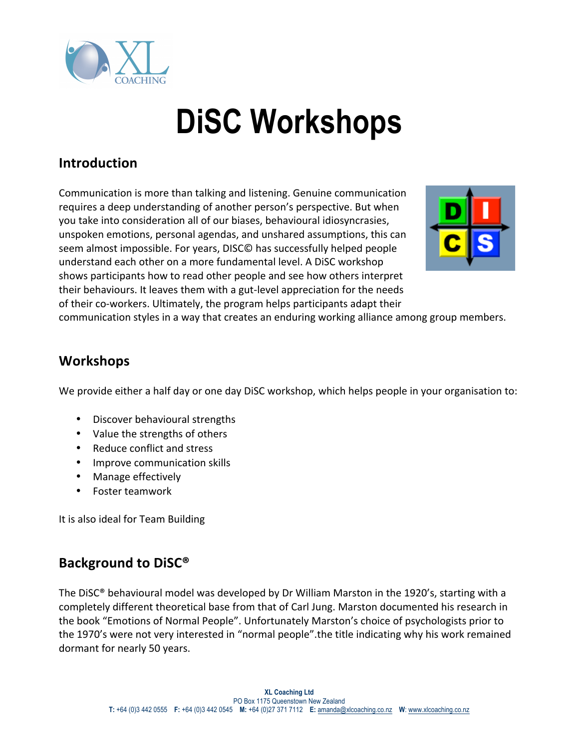

# **DiSC Workshops**

## **Introduction**

Communication is more than talking and listening. Genuine communication requires a deep understanding of another person's perspective. But when you take into consideration all of our biases, behavioural idiosyncrasies, unspoken emotions, personal agendas, and unshared assumptions, this can seem almost impossible. For years, DISC© has successfully helped people understand each other on a more fundamental level. A DiSC workshop shows participants how to read other people and see how others interpret their behaviours. It leaves them with a gut-level appreciation for the needs of their co-workers. Ultimately, the program helps participants adapt their



communication styles in a way that creates an enduring working alliance among group members.

#### **Workshops**

We provide either a half day or one day DiSC workshop, which helps people in your organisation to:

- Discover behavioural strengths
- Value the strengths of others
- Reduce conflict and stress
- Improve communication skills
- Manage effectively
- Foster teamwork

It is also ideal for Team Building

#### **Background to DiSC®**

The DiSC® behavioural model was developed by Dr William Marston in the 1920's, starting with a completely different theoretical base from that of Carl Jung. Marston documented his research in the book "Emotions of Normal People". Unfortunately Marston's choice of psychologists prior to the 1970's were not very interested in "normal people". the title indicating why his work remained dormant for nearly 50 years.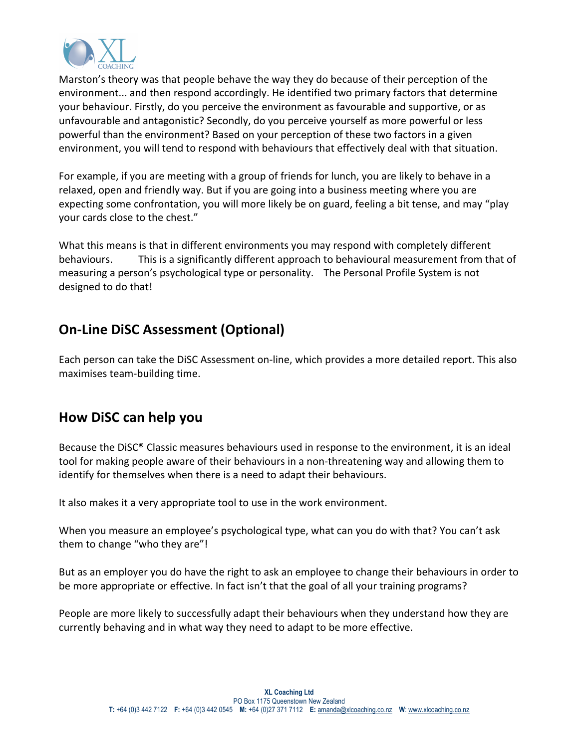

Marston's theory was that people behave the way they do because of their perception of the environment... and then respond accordingly. He identified two primary factors that determine your behaviour. Firstly, do you perceive the environment as favourable and supportive, or as unfavourable and antagonistic? Secondly, do you perceive yourself as more powerful or less powerful than the environment? Based on your perception of these two factors in a given environment, you will tend to respond with behaviours that effectively deal with that situation.

For example, if you are meeting with a group of friends for lunch, you are likely to behave in a relaxed, open and friendly way. But if you are going into a business meeting where you are expecting some confrontation, you will more likely be on guard, feeling a bit tense, and may "play" your cards close to the chest."

What this means is that in different environments you may respond with completely different behaviours. This is a significantly different approach to behavioural measurement from that of measuring a person's psychological type or personality. The Personal Profile System is not designed to do that!

## **On-Line DiSC Assessment (Optional)**

Each person can take the DiSC Assessment on-line, which provides a more detailed report. This also maximises team-building time.

#### **How DiSC can help you**

Because the DiSC® Classic measures behaviours used in response to the environment, it is an ideal tool for making people aware of their behaviours in a non-threatening way and allowing them to identify for themselves when there is a need to adapt their behaviours.

It also makes it a very appropriate tool to use in the work environment.

When you measure an employee's psychological type, what can you do with that? You can't ask them to change "who they are"!

But as an employer you do have the right to ask an employee to change their behaviours in order to be more appropriate or effective. In fact isn't that the goal of all your training programs?

People are more likely to successfully adapt their behaviours when they understand how they are currently behaving and in what way they need to adapt to be more effective.